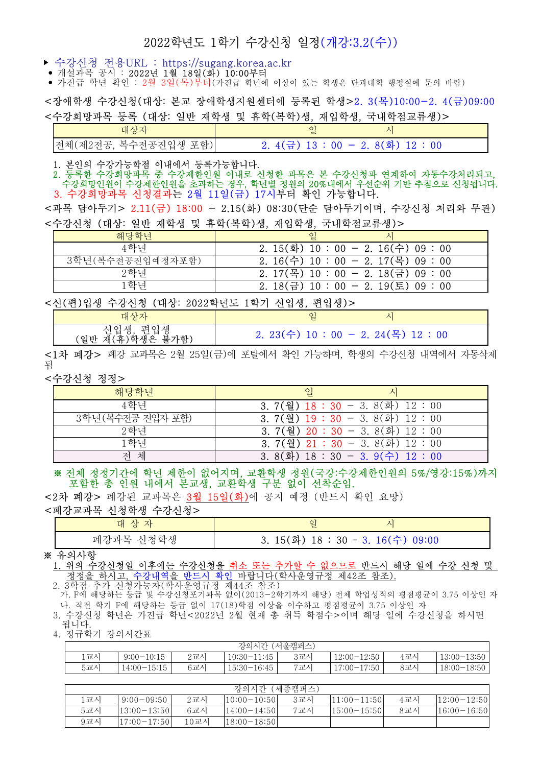# 2022학년도 1학기 수강신청 일정(개강:3.2(수))

- 수강신청 전용URL : https://sugang.korea.ac.kr
- : 개설과목 공시 2022년 1월 18일(화) 10:00부터
- 가진급 학년 확인 : 2월 3일 (목) 부터(가진급 학년에 이상이 있는 학생은 단과대학 행정실에 문의 바람)

<장애학생 수강신청(대상: 본교 장애학생지원센터에 등록된 학생>2. 3(목)10:00-2. 4(금)09:00 <수강희망과목 등록 (대상: 일반 재학생 및 휴학(복학)생, 재입학생, 국내학점교류생)>

| ᄾᄂ                     |                                 |  |
|------------------------|---------------------------------|--|
| [전체(제2전공, 복수전공진입생 포함)] | 2.4(금) 13 : 00 - 2.8(화) 12 : 00 |  |

1. 본인의 수강가능학점 이내에서 등록가능합니다.

 2. 등록한 수강희망과목 중 수강제한인원 이내로 신청한 과목은 본 수강신청과 연계하여 자동수강처리되고, 수강희망인원이 수강제한인원을 초과하는 경우, 학년별 정원의 20%내에서 우선순위 기반 추첨으로 신청됩니다. 3. 수강희망과목 신청결과는 2월 11일(금) 17시부터 확인 가능합니다.

<과목 담아두기> 2.11(금) 18:00 - 2.15(화) 08:30(단순 담아두기이며, 수강신청 처리와 무관) \*수지 사람 (세상: 영화 백화생 및 폭청(표정)께, 평영화 생

| 해당학년             | $\overline{q}$                                  |
|------------------|-------------------------------------------------|
| 4학년              | 2. 15(화) 10:00 - 2. 16(수) 09:00                 |
| 3학년(복수전공진입예정자포함) | $2.16(\hat{+}) 10 : 00 - 2.17(\text{)} 09 : 00$ |
| 2학년              | 2. 17(목) 10 : 00 - 2. 18(금) 09 : 00             |
| 하녀               | $2.18(\text{}\}$ 10 : 00 - 2. 19(토) 09 : 00     |

<신(편)입생 수강신청 (대상: 2022학년도 1학기 신입생, 편입생)>

| 대상자                                                                                          | ु<br><u>.</u>                                   |
|----------------------------------------------------------------------------------------------|-------------------------------------------------|
| 새<br>편<br>인<br>$\triangle$ L<br>$\overline{\phantom{0}}$<br>가함<br>′일반<br>불.<br>재<br>௨<br>杰ᡰᆇ | $2.23(\hat{+}) 10 : 00 - 2.24(\hat{+}) 12 : 00$ |

<1차 폐강> 폐강 교과목은 2월 25일(금)에 포탈에서 확인 가능하며, 학생의 수강신청 내역에서 자동삭제 됨

<수강신청 정정>

| 해당학년              | 일                                                         |
|-------------------|-----------------------------------------------------------|
| 4학년               | $3.7(\frac{3}{2})$ $18:30 - 3.8(\frac{1}{2})$ $12:00$     |
| 3학년 (복수전공 진입자 포함) | 3. 7(월) $19:30 - 3.8$ (화) $12:00$                         |
| 2학년               | 3. 7(월) $20:30 - 3.8(\Phi)$ 12:00                         |
| 1학년               | 3. 7(월) $21:30 - 3.8(\overline{3}) 12:00$                 |
| 체<br>저            | 3. $8(\frac{1}{2})$ 18 : 30 - 3. $9(\frac{1}{1})$ 12 : 00 |

# 전체 정정기간에 학년 제한이 없어지며, 교환학생 정원(국강:수강제한인원의 5%/영강:15%)까지 포함한 총 인원 내에서 본교생, 교환학생 구분 없이 선착순임.

< 2차 폐강> 폐강된 교과목은 3월 15일(화)에 공지 예정 (반드시 확인 요망)

# <폐강교과목 신청학생 수강신청>

| 대 상 자     |                                   |
|-----------|-----------------------------------|
| 폐강과목 신청학생 | 3. 15(화) $18:30 - 3.16$ (수) 09:00 |

#### ※ 유의사항

## 1. 위의 수강신청일 이후에는 수강신청을 취소 또는 추가할 수 없으므로 반드시 해당 일에 수강 신청 및 정정을 하시고, 수강내역을 반드시 확인 바랍니다(학사운영규정 제42조 참조).

2. 3학점 추가 신청가능자(학사운영규정 제44조 참조) . 5 T H T 가 L B 가 S T S T T H L S II S T H L H H H H H H H H H H H H M 제 당) 전체 학업성적의 평점평균이 3.75 이상인 자<br>가. F에 해당하는 등급 및 수강신청포기과목 없이(2013-2학기까지 해당) 전체 학업성적의 평점평균이 3.75 이상인 자 나. 직전 학기 F에 해당하는 등급 없이 17(18)학점 이상을 이수하고 평점평균이 3.75 이상인 자 3. 수강신청 학년은 가진급 학년<2022년 2월 현재 총 취득 학점수>이며 해당 일에 수강신청을 하시면

 . 됩니다 4. 정규학기 강의시간표

|     |                 |     | 강의시간 (서울캠퍼스)  |     |                 |     |               |
|-----|-----------------|-----|---------------|-----|-----------------|-----|---------------|
| 교시  | $9:00-10:15$    | 2교시 | $10:30-11:45$ | 3교시 | $12:00 - 12:50$ | 4교시 | $13:00-13:50$ |
| 5교시 | $14:00 - 15:15$ | 6교시 | $15:30-16:45$ | 7교시 | $17:00-17:50$   | 8교시 | $18:00-18:50$ |

|     |                 |      | 강의시간 (세종캠퍼스)    |     |                 |     |                 |
|-----|-----------------|------|-----------------|-----|-----------------|-----|-----------------|
| 교시  | $9:00-09:50$    | 2교시  | $10:00-10:50$   | 3교시 | $ 11:00-11:50 $ | 4교시 | $ 12:00-12:50 $ |
| 5교시 | $13:00 - 13:50$ | 6교시  | $14:00-14:50$   | 7교시 | $15:00-15:50$   | 8교시 | $ 16:00-16:50 $ |
| 9교시 | $17:00 - 17:50$ | 10교시 | $ 18:00-18:50 $ |     |                 |     |                 |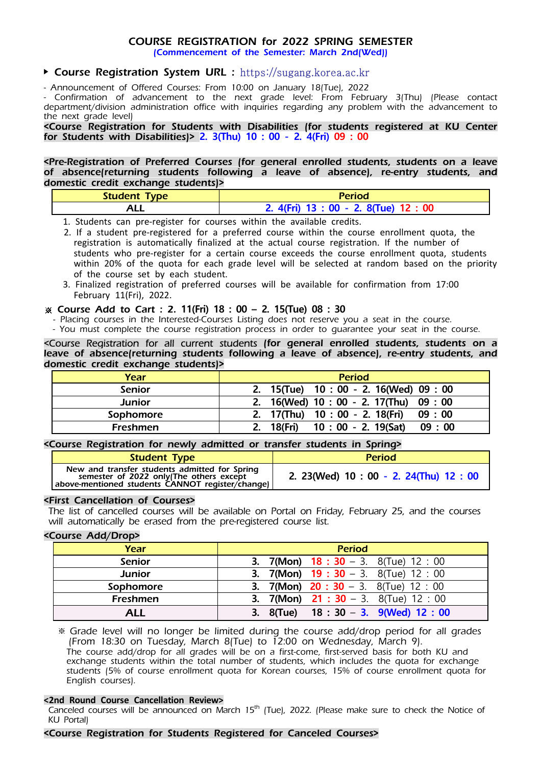# *COURSE REGISTRATION for 2022 SPRING SEMESTER*

*(Commencement of the Semester: March 2nd(Wed))*

# *Course Registration System URL :* https://sugang.korea.ac.kr

*- Announcement of Offered Courses: From 10:00 on January 18(Tue), 2022*

*- Confirmation of advancement to the next grade level: From February 3(Thu) (Please contact department/division administration office with inquiries regarding any problem with the advancement to the next grade level)*

*<Course Registration for Students with Disabilities (for students registered at KU Center for Students with Disabilities)>* 2. 3(Thu) 10 : 00 - 2. 4(Fri) 09 : 00

*<Pre-Registration of Preferred Courses (for general enrolled students, students on a leave of absence(returning students following a leave of absence), re-entry students, and domestic credit exchange students)>*

| Student Type | Period                                |
|--------------|---------------------------------------|
| ۱LL          | 2. 4(Fri) 13 : 00 - 2. 8(Tue) 12 : 00 |

1. Students can pre-register for courses within the available credits.

 2. If a student pre-registered for a preferred course within the course enrollment quota, the registration is automatically finalized at the actual course registration. If the number of students who pre-register for a certain course exceeds the course enrollment quota, students within 20% of the quota for each grade level will be selected at random based on the priority of the course set by each student.

3. Finalized registration of preferred courses will be available for confirmation from 17:00 February 11(Fri), 2022.

## *Course Add to Cart : 2.* 11(Fri) 18 : 00 2. 15(Tue) 08 : 30 –

- *Placing courses in the Interested-Courses Listing does not reserve you a seat in the course.*

 *- You must complete the course registration process in order to guarantee your seat in the course.*

*<Course Registration for all current students (for general enrolled students, students on a*  leave of absence(returning students following a leave of absence), re-entry students, and *domestic credit exchange students)>*

| Year            | <b>Period</b>                               |
|-----------------|---------------------------------------------|
| <b>Senior</b>   | 2. 15(Tue) 10:00 - 2. 16(Wed) 09:00         |
| <b>Junior</b>   | 2. 16(Wed) 10 : 00 - 2. 17(Thu) 09 : 00     |
| Sophomore       | 2. 17(Thu) 10:00 - 2. 18(Fri) 09:00         |
| <b>Freshmen</b> | 10 : 00 - 2. 19(Sat)<br>2. 18(Fri)<br>09:00 |

## *<Course Registration for newly admitted or transfer students in Spring>*

| <b>Student Type</b>                                                                                                                          | <b>Period</b>                             |
|----------------------------------------------------------------------------------------------------------------------------------------------|-------------------------------------------|
| New and transfer students admitted for Spring<br>semester of 2022 only(The others except<br>above-mentioned students CANNOT register/change) | 2. 23 (Wed) 10 : 00 - 2. 24 (Thu) 12 : 00 |

#### *<First Cancellation of Courses>*

*The list of cancelled courses will be available on Portal on Friday, February 25, and the courses will automatically be erased from the pre-registered course list.* 

## *<Course Add/Drop>*

| Year          | <b>Period</b>                                              |
|---------------|------------------------------------------------------------|
| Senior        | <b>3.</b> 7(Mon) <b>18 : 30</b> – 3. 8(Tue) <b>12</b> : 00 |
| <b>Junior</b> | <b>3.</b> 7(Mon) <b>19 : 30</b> - 3. 8(Tue) 12 : 00        |
| Sophomore     | <b>3.</b> 7(Mon) <b>20 : 30</b> - 3. 8(Tue) 12 : 00        |
| Freshmen      | <b>3.</b> 7(Mon) <b>21 : 30</b> - 3. 8(Tue) 12 : 00        |
| ALL           | 3. $8$ (Tue) 18 : 30 - 3. $9$ (Wed) 12 : 00                |

 *Grade level will no longer be limited during the course add/drop period for all grades (From 18:30 on Tuesday, March 8(Tue) to 12:00 on Wednesday, March 9).*

 *The course add/drop for all grades will be on a first-come, first-served basis for both KU and exchange students within the total number of students, which includes the quota for exchange students (5% of course enrollment quota for Korean courses, 15% of course enrollment quota for English courses).* 

#### **<2nd Round Course Cancellation Review>**

*Canceled courses will be announced on March 15th (Tue), 2022. (Please make sure to check the Notice of KU Portal)*

#### *<Course Registration for Students Registered for Canceled Courses>*